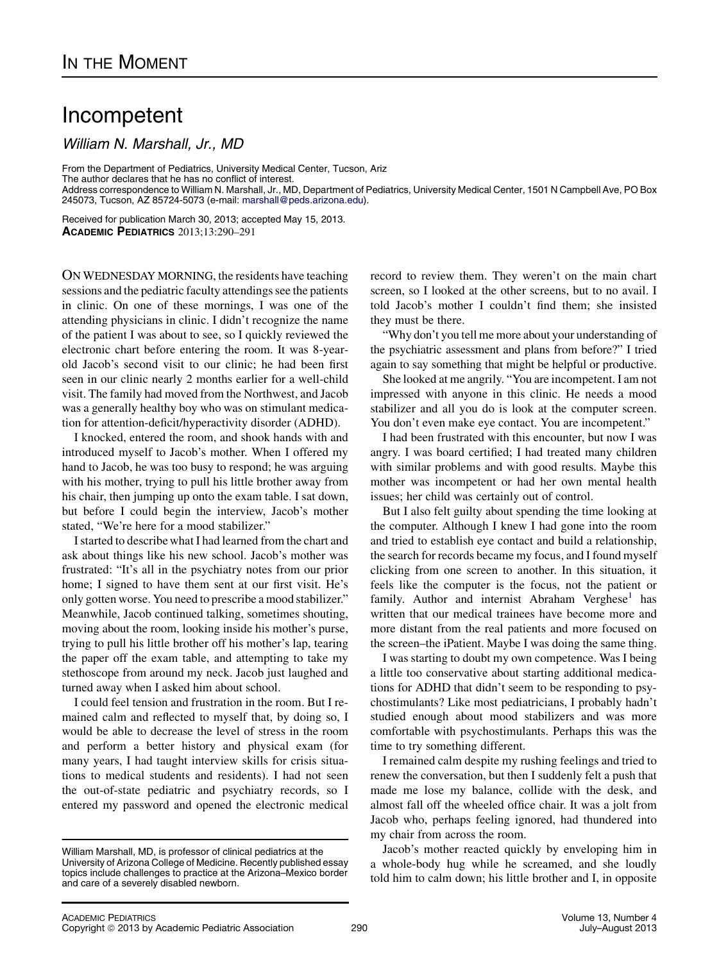## Incompetent

William N. Marshall, Jr., MD

From the Department of Pediatrics, University Medical Center, Tucson, Ariz

The author declares that he has no conflict of interest.

Address correspondence to William N. Marshall, Jr., MD, Department of Pediatrics, University Medical Center, 1501 N Campbell Ave, PO Box 245073, Tucson, AZ 85724-5073 (e-mail: [marshall@peds.arizona.edu\)](mailto:marshall@peds.arizona.edu).

Received for publication March 30, 2013; accepted May 15, 2013. ACADEMIC PEDIATRICS 2013;13:290–291

ON WEDNESDAY MORNING, the residents have teaching sessions and the pediatric faculty attendings see the patients in clinic. On one of these mornings, I was one of the attending physicians in clinic. I didn't recognize the name of the patient I was about to see, so I quickly reviewed the electronic chart before entering the room. It was 8-yearold Jacob's second visit to our clinic; he had been first seen in our clinic nearly 2 months earlier for a well-child visit. The family had moved from the Northwest, and Jacob was a generally healthy boy who was on stimulant medication for attention-deficit/hyperactivity disorder (ADHD).

I knocked, entered the room, and shook hands with and introduced myself to Jacob's mother. When I offered my hand to Jacob, he was too busy to respond; he was arguing with his mother, trying to pull his little brother away from his chair, then jumping up onto the exam table. I sat down, but before I could begin the interview, Jacob's mother stated, "We're here for a mood stabilizer."

I started to describe what I had learned from the chart and ask about things like his new school. Jacob's mother was frustrated: "It's all in the psychiatry notes from our prior home; I signed to have them sent at our first visit. He's only gotten worse. You need to prescribe a mood stabilizer." Meanwhile, Jacob continued talking, sometimes shouting, moving about the room, looking inside his mother's purse, trying to pull his little brother off his mother's lap, tearing the paper off the exam table, and attempting to take my stethoscope from around my neck. Jacob just laughed and turned away when I asked him about school.

I could feel tension and frustration in the room. But I remained calm and reflected to myself that, by doing so, I would be able to decrease the level of stress in the room and perform a better history and physical exam (for many years, I had taught interview skills for crisis situations to medical students and residents). I had not seen the out-of-state pediatric and psychiatry records, so I entered my password and opened the electronic medical record to review them. They weren't on the main chart screen, so I looked at the other screens, but to no avail. I told Jacob's mother I couldn't find them; she insisted they must be there.

"Why don't you tell me more about your understanding of the psychiatric assessment and plans from before?" I tried again to say something that might be helpful or productive.

She looked at me angrily. "You are incompetent. I am not impressed with anyone in this clinic. He needs a mood stabilizer and all you do is look at the computer screen. You don't even make eye contact. You are incompetent."

I had been frustrated with this encounter, but now I was angry. I was board certified; I had treated many children with similar problems and with good results. Maybe this mother was incompetent or had her own mental health issues; her child was certainly out of control.

But I also felt guilty about spending the time looking at the computer. Although I knew I had gone into the room and tried to establish eye contact and build a relationship, the search for records became my focus, and I found myself clicking from one screen to another. In this situation, it feels like the computer is the focus, not the patient or family. Author and internist Abraham Verghese<sup>1</sup> has written that our medical trainees have become more and more distant from the real patients and more focused on the screen–the iPatient. Maybe I was doing the same thing.

I was starting to doubt my own competence. Was I being a little too conservative about starting additional medications for ADHD that didn't seem to be responding to psychostimulants? Like most pediatricians, I probably hadn't studied enough about mood stabilizers and was more comfortable with psychostimulants. Perhaps this was the time to try something different.

I remained calm despite my rushing feelings and tried to renew the conversation, but then I suddenly felt a push that made me lose my balance, collide with the desk, and almost fall off the wheeled office chair. It was a jolt from Jacob who, perhaps feeling ignored, had thundered into my chair from across the room.

Jacob's mother reacted quickly by enveloping him in a whole-body hug while he screamed, and she loudly told him to calm down; his little brother and I, in opposite

William Marshall, MD, is professor of clinical pediatrics at the University of Arizona College of Medicine. Recently published essay topics include challenges to practice at the Arizona–Mexico border and care of a severely disabled newborn.